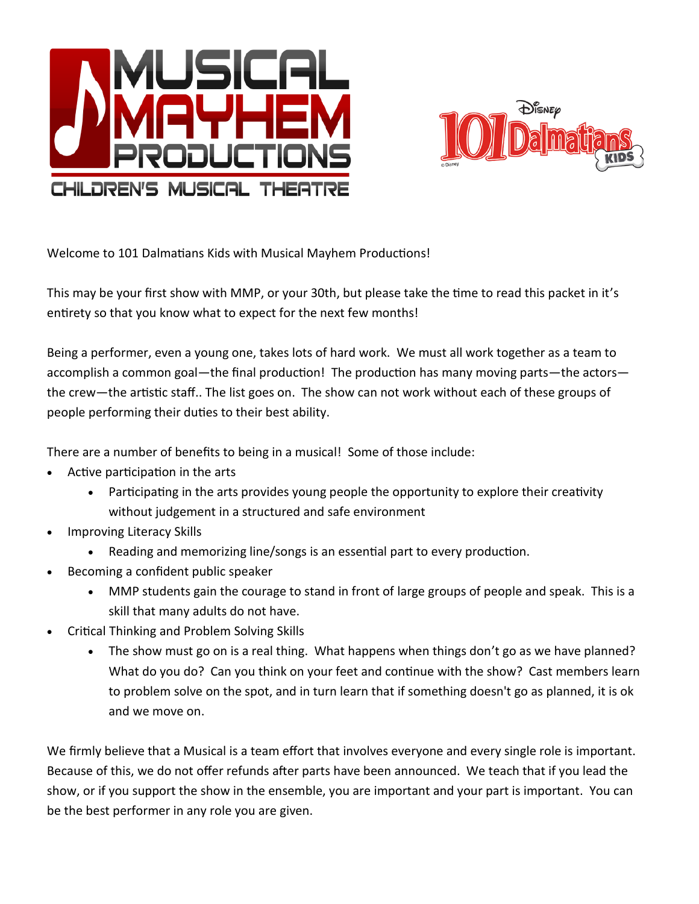



Welcome to 101 Dalmatians Kids with Musical Mayhem Productions!

This may be your first show with MMP, or your 30th, but please take the time to read this packet in it's entirety so that you know what to expect for the next few months!

Being a performer, even a young one, takes lots of hard work. We must all work together as a team to accomplish a common goal—the final production! The production has many moving parts—the actors the crew—the artistic staff.. The list goes on. The show can not work without each of these groups of people performing their duties to their best ability.

There are a number of benefits to being in a musical! Some of those include:

- Active participation in the arts
	- Participating in the arts provides young people the opportunity to explore their creativity without judgement in a structured and safe environment
- Improving Literacy Skills
	- Reading and memorizing line/songs is an essential part to every production.
- Becoming a confident public speaker
	- MMP students gain the courage to stand in front of large groups of people and speak. This is a skill that many adults do not have.
- Critical Thinking and Problem Solving Skills
	- The show must go on is a real thing. What happens when things don't go as we have planned? What do you do? Can you think on your feet and continue with the show? Cast members learn to problem solve on the spot, and in turn learn that if something doesn't go as planned, it is ok and we move on.

We firmly believe that a Musical is a team effort that involves everyone and every single role is important. Because of this, we do not offer refunds after parts have been announced. We teach that if you lead the show, or if you support the show in the ensemble, you are important and your part is important. You can be the best performer in any role you are given.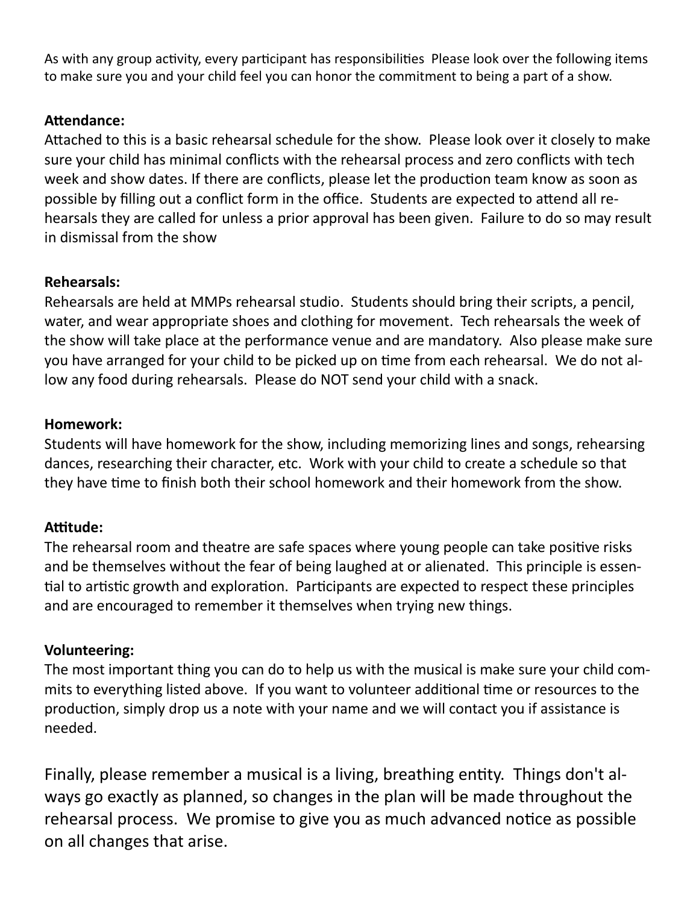As with any group activity, every participant has responsibilities Please look over the following items to make sure you and your child feel you can honor the commitment to being a part of a show.

## **Attendance:**

Attached to this is a basic rehearsal schedule for the show. Please look over it closely to make sure your child has minimal conflicts with the rehearsal process and zero conflicts with tech week and show dates. If there are conflicts, please let the production team know as soon as possible by filling out a conflict form in the office. Students are expected to attend all rehearsals they are called for unless a prior approval has been given. Failure to do so may result in dismissal from the show

## **Rehearsals:**

Rehearsals are held at MMPs rehearsal studio. Students should bring their scripts, a pencil, water, and wear appropriate shoes and clothing for movement. Tech rehearsals the week of the show will take place at the performance venue and are mandatory. Also please make sure you have arranged for your child to be picked up on time from each rehearsal. We do not allow any food during rehearsals. Please do NOT send your child with a snack.

## **Homework:**

Students will have homework for the show, including memorizing lines and songs, rehearsing dances, researching their character, etc. Work with your child to create a schedule so that they have time to finish both their school homework and their homework from the show.

## **Attitude:**

The rehearsal room and theatre are safe spaces where young people can take positive risks and be themselves without the fear of being laughed at or alienated. This principle is essential to artistic growth and exploration. Participants are expected to respect these principles and are encouraged to remember it themselves when trying new things.

## **Volunteering:**

The most important thing you can do to help us with the musical is make sure your child commits to everything listed above. If you want to volunteer additional time or resources to the production, simply drop us a note with your name and we will contact you if assistance is needed.

Finally, please remember a musical is a living, breathing entity. Things don't always go exactly as planned, so changes in the plan will be made throughout the rehearsal process. We promise to give you as much advanced notice as possible on all changes that arise.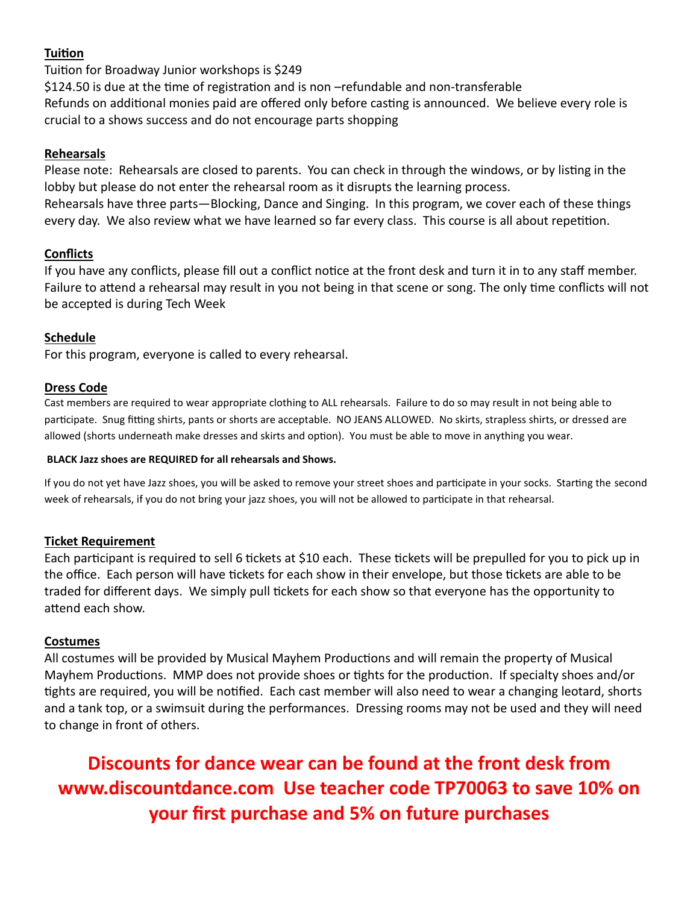#### **Tuition**

Tuition for Broadway Junior workshops is \$249

\$124.50 is due at the time of registration and is non -refundable and non-transferable Refunds on additional monies paid are offered only before casting is announced. We believe every role is crucial to a shows success and do not encourage parts shopping

#### **Rehearsals**

Please note: Rehearsals are closed to parents. You can check in through the windows, or by listing in the lobby but please do not enter the rehearsal room as it disrupts the learning process. Rehearsals have three parts—Blocking, Dance and Singing. In this program, we cover each of these things every day. We also review what we have learned so far every class. This course is all about repetition.

#### **Conflicts**

If you have any conflicts, please fill out a conflict notice at the front desk and turn it in to any staff member. Failure to attend a rehearsal may result in you not being in that scene or song. The only time conflicts will not be accepted is during Tech Week

#### **Schedule**

For this program, everyone is called to every rehearsal.

#### **Dress Code**

Cast members are required to wear appropriate clothing to ALL rehearsals. Failure to do so may result in not being able to participate. Snug fitting shirts, pants or shorts are acceptable. NO JEANS ALLOWED. No skirts, strapless shirts, or dressed are allowed (shorts underneath make dresses and skirts and option). You must be able to move in anything you wear.

#### **BLACK Jazz shoes are REQUIRED for all rehearsals and Shows.**

If you do not yet have Jazz shoes, you will be asked to remove your street shoes and participate in your socks. Starting the second week of rehearsals, if you do not bring your jazz shoes, you will not be allowed to participate in that rehearsal.

#### **Ticket Requirement**

Each participant is required to sell 6 tickets at \$10 each. These tickets will be prepulled for you to pick up in the office. Each person will have tickets for each show in their envelope, but those tickets are able to be traded for different days. We simply pull tickets for each show so that everyone has the opportunity to attend each show.

#### **Costumes**

All costumes will be provided by Musical Mayhem Productions and will remain the property of Musical Mayhem Productions. MMP does not provide shoes or tights for the production. If specialty shoes and/or tights are required, you will be notified. Each cast member will also need to wear a changing leotard, shorts and a tank top, or a swimsuit during the performances. Dressing rooms may not be used and they will need to change in front of others.

**Discounts for dance wear can be found at the front desk from www.discountdance.com Use teacher code TP70063 to save 10% on your first purchase and 5% on future purchases**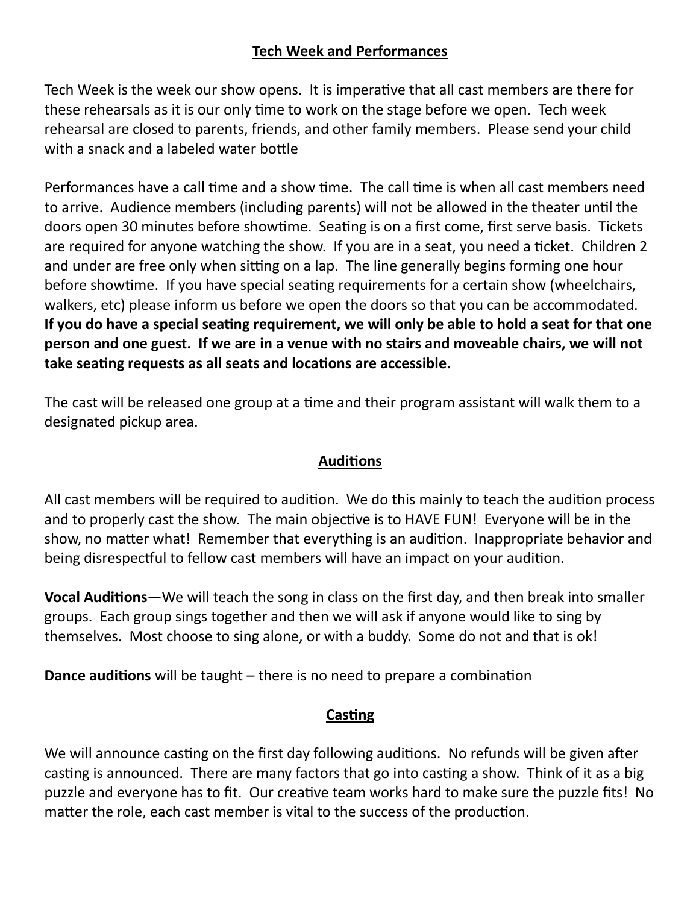# **Tech Week and Performances**

Tech Week is the week our show opens. It is imperative that all cast members are there for these rehearsals as it is our only time to work on the stage before we open. Tech week rehearsal are closed to parents, friends, and other family members. Please send your child with a snack and a labeled water bottle

Performances have a call time and a show time. The call time is when all cast members need to arrive. Audience members (including parents) will not be allowed in the theater until the doors open 30 minutes before showtime. Seating is on a first come, first serve basis. Tickets are required for anyone watching the show. If you are in a seat, you need a ticket. Children 2 and under are free only when sitting on a lap. The line generally begins forming one hour before showtime. If you have special seating requirements for a certain show (wheelchairs, walkers, etc) please inform us before we open the doors so that you can be accommodated. **If you do have a special seating requirement, we will only be able to hold a seat for that one person and one guest. If we are in a venue with no stairs and moveable chairs, we will not take seating requests as all seats and locations are accessible.** 

The cast will be released one group at a time and their program assistant will walk them to a designated pickup area.

# **Auditions**

All cast members will be required to audition. We do this mainly to teach the audition process and to properly cast the show. The main objective is to HAVE FUN! Everyone will be in the show, no matter what! Remember that everything is an audition. Inappropriate behavior and being disrespectful to fellow cast members will have an impact on your audition.

**Vocal Auditions**—We will teach the song in class on the first day, and then break into smaller groups. Each group sings together and then we will ask if anyone would like to sing by themselves. Most choose to sing alone, or with a buddy. Some do not and that is ok!

**Dance auditions** will be taught – there is no need to prepare a combination

# **Casting**

We will announce casting on the first day following auditions. No refunds will be given after casting is announced. There are many factors that go into casting a show. Think of it as a big puzzle and everyone has to fit. Our creative team works hard to make sure the puzzle fits! No matter the role, each cast member is vital to the success of the production.